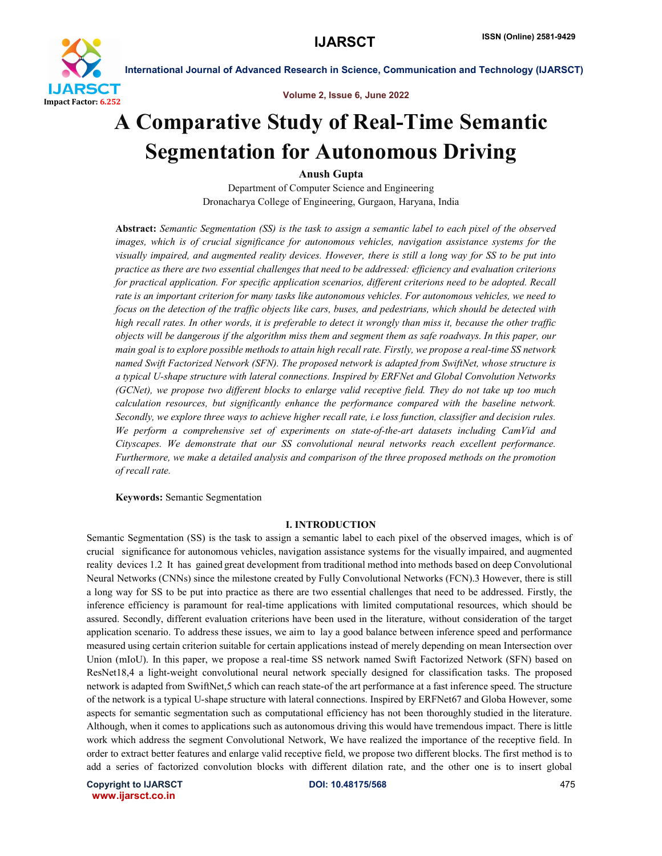

Volume 2, Issue 6, June 2022

# A Comparative Study of Real-Time Semantic Segmentation for Autonomous Driving

Anush Gupta

Department of Computer Science and Engineering Dronacharya College of Engineering, Gurgaon, Haryana, India

Abstract: *Semantic Segmentation (SS) is the task to assign a semantic label to each pixel of the observed images, which is of crucial significance for autonomous vehicles, navigation assistance systems for the visually impaired, and augmented reality devices. However, there is still a long way for SS to be put into practice as there are two essential challenges that need to be addressed: efficiency and evaluation criterions for practical application. For specific application scenarios, different criterions need to be adopted. Recall rate is an important criterion for many tasks like autonomous vehicles. For autonomous vehicles, we need to focus on the detection of the traffic objects like cars, buses, and pedestrians, which should be detected with high recall rates. In other words, it is preferable to detect it wrongly than miss it, because the other traffic objects will be dangerous if the algorithm miss them and segment them as safe roadways. In this paper, our main goal is to explore possible methods to attain high recall rate. Firstly, we propose a real-time SS network named Swift Factorized Network (SFN). The proposed network is adapted from SwiftNet, whose structure is a typical U-shape structure with lateral connections. Inspired by ERFNet and Global Convolution Networks (GCNet), we propose two different blocks to enlarge valid receptive field. They do not take up too much calculation resources, but significantly enhance the performance compared with the baseline network. Secondly, we explore three ways to achieve higher recall rate, i.e loss function, classifier and decision rules. We perform a comprehensive set of experiments on state-of-the-art datasets including CamVid and Cityscapes. We demonstrate that our SS convolutional neural networks reach excellent performance. Furthermore, we make a detailed analysis and comparison of the three proposed methods on the promotion of recall rate.*

Keywords: Semantic Segmentation

#### I. INTRODUCTION

Semantic Segmentation (SS) is the task to assign a semantic label to each pixel of the observed images, which is of crucial significance for autonomous vehicles, navigation assistance systems for the visually impaired, and augmented reality devices 1.2 It has gained great development from traditional method into methods based on deep Convolutional Neural Networks (CNNs) since the milestone created by Fully Convolutional Networks (FCN).3 However, there is still a long way for SS to be put into practice as there are two essential challenges that need to be addressed. Firstly, the inference efficiency is paramount for real-time applications with limited computational resources, which should be assured. Secondly, different evaluation criterions have been used in the literature, without consideration of the target application scenario. To address these issues, we aim to lay a good balance between inference speed and performance measured using certain criterion suitable for certain applications instead of merely depending on mean Intersection over Union (mIoU). In this paper, we propose a real-time SS network named Swift Factorized Network (SFN) based on ResNet18,4 a light-weight convolutional neural network specially designed for classification tasks. The proposed network is adapted from SwiftNet,5 which can reach state-of the art performance at a fast inference speed. The structure of the network is a typical U-shape structure with lateral connections. Inspired by ERFNet67 and Globa However, some aspects for semantic segmentation such as computational efficiency has not been thoroughly studied in the literature. Although, when it comes to applications such as autonomous driving this would have tremendous impact. There is little work which address the segment Convolutional Network, We have realized the importance of the receptive field. In order to extract better features and enlarge valid receptive field, we propose two different blocks. The first method is to add a series of factorized convolution blocks with different dilation rate, and the other one is to insert global

Copyright to IJARSCT DOI: 10.48175/568 475 www.ijarsct.co.in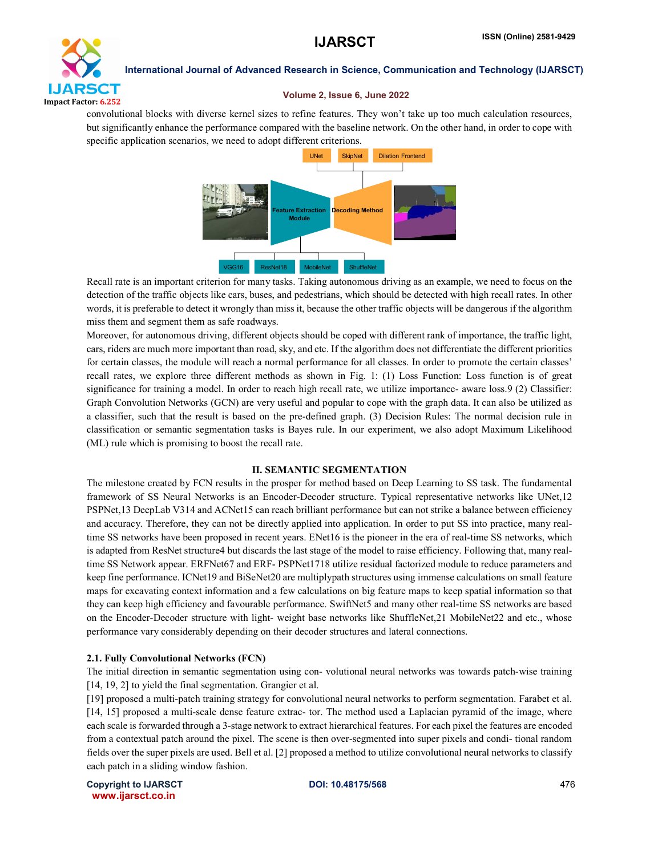

#### Volume 2, Issue 6, June 2022

convolutional blocks with diverse kernel sizes to refine features. They won't take up too much calculation resources, but significantly enhance the performance compared with the baseline network. On the other hand, in order to cope with specific application scenarios, we need to adopt different criterions.



Recall rate is an important criterion for many tasks. Taking autonomous driving as an example, we need to focus on the detection of the traffic objects like cars, buses, and pedestrians, which should be detected with high recall rates. In other words, it is preferable to detect it wrongly than miss it, because the other traffic objects will be dangerous if the algorithm miss them and segment them as safe roadways.

Moreover, for autonomous driving, different objects should be coped with different rank of importance, the traffic light, cars, riders are much more important than road, sky, and etc. If the algorithm does not differentiate the different priorities for certain classes, the module will reach a normal performance for all classes. In order to promote the certain classes' recall rates, we explore three different methods as shown in Fig. 1: (1) Loss Function: Loss function is of great significance for training a model. In order to reach high recall rate, we utilize importance- aware loss.9 (2) Classifier: Graph Convolution Networks (GCN) are very useful and popular to cope with the graph data. It can also be utilized as a classifier, such that the result is based on the pre-defined graph. (3) Decision Rules: The normal decision rule in classification or semantic segmentation tasks is Bayes rule. In our experiment, we also adopt Maximum Likelihood (ML) rule which is promising to boost the recall rate.

### II. SEMANTIC SEGMENTATION

The milestone created by FCN results in the prosper for method based on Deep Learning to SS task. The fundamental framework of SS Neural Networks is an Encoder-Decoder structure. Typical representative networks like UNet,12 PSPNet,13 DeepLab V314 and ACNet15 can reach brilliant performance but can not strike a balance between efficiency and accuracy. Therefore, they can not be directly applied into application. In order to put SS into practice, many realtime SS networks have been proposed in recent years. ENet16 is the pioneer in the era of real-time SS networks, which is adapted from ResNet structure4 but discards the last stage of the model to raise efficiency. Following that, many realtime SS Network appear. ERFNet67 and ERF- PSPNet1718 utilize residual factorized module to reduce parameters and keep fine performance. ICNet19 and BiSeNet20 are multiplypath structures using immense calculations on small feature maps for excavating context information and a few calculations on big feature maps to keep spatial information so that they can keep high efficiency and favourable performance. SwiftNet5 and many other real-time SS networks are based on the Encoder-Decoder structure with light- weight base networks like ShuffleNet,21 MobileNet22 and etc., whose performance vary considerably depending on their decoder structures and lateral connections.

### 2.1. Fully Convolutional Networks (FCN)

The initial direction in semantic segmentation using con- volutional neural networks was towards patch-wise training [14, 19, 2] to yield the final segmentation. Grangier et al.

[19] proposed a multi-patch training strategy for convolutional neural networks to perform segmentation. Farabet et al. [14, 15] proposed a multi-scale dense feature extrac- tor. The method used a Laplacian pyramid of the image, where each scale is forwarded through a 3-stage network to extract hierarchical features. For each pixel the features are encoded from a contextual patch around the pixel. The scene is then over-segmented into super pixels and condi- tional random fields over the super pixels are used. Bell et al. [2] proposed a method to utilize convolutional neural networks to classify each patch in a sliding window fashion.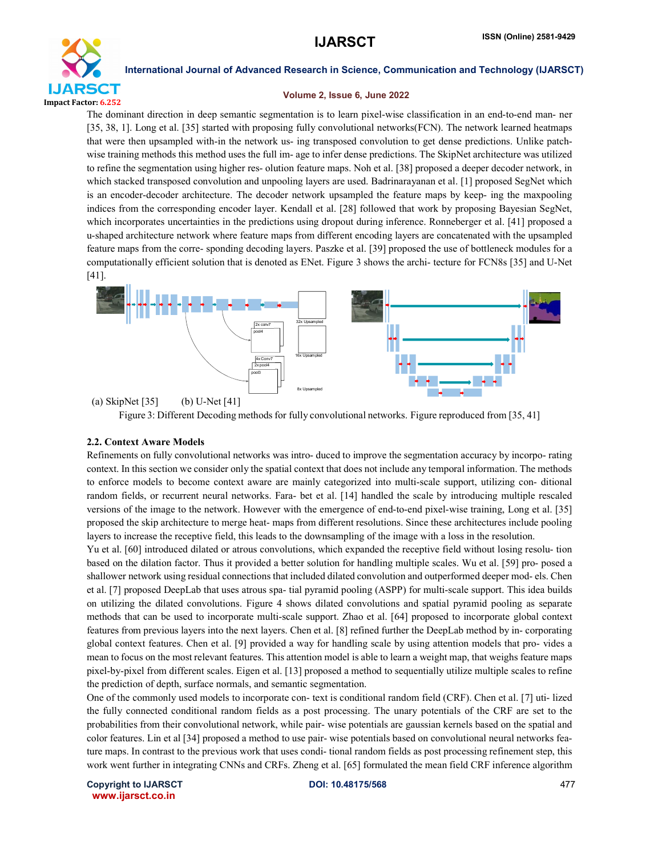

#### Volume 2, Issue 6, June 2022

The dominant direction in deep semantic segmentation is to learn pixel-wise classification in an end-to-end man- ner [35, 38, 1]. Long et al. [35] started with proposing fully convolutional networks(FCN). The network learned heatmaps that were then upsampled with-in the network us- ing transposed convolution to get dense predictions. Unlike patchwise training methods this method uses the full im- age to infer dense predictions. The SkipNet architecture was utilized to refine the segmentation using higher res- olution feature maps. Noh et al. [38] proposed a deeper decoder network, in which stacked transposed convolution and unpooling layers are used. Badrinarayanan et al. [1] proposed SegNet which is an encoder-decoder architecture. The decoder network upsampled the feature maps by keep- ing the maxpooling indices from the corresponding encoder layer. Kendall et al. [28] followed that work by proposing Bayesian SegNet, which incorporates uncertainties in the predictions using dropout during inference. Ronneberger et al. [41] proposed a u-shaped architecture network where feature maps from different encoding layers are concatenated with the upsampled feature maps from the corre- sponding decoding layers. Paszke et al. [39] proposed the use of bottleneck modules for a computationally efficient solution that is denoted as ENet. Figure 3 shows the archi- tecture for FCN8s [35] and U-Net [41].



(a) SkipNet [35] (b) U-Net [41]



#### 2.2. Context Aware Models

Refinements on fully convolutional networks was intro- duced to improve the segmentation accuracy by incorpo- rating context. In this section we consider only the spatial context that does not include any temporal information. The methods to enforce models to become context aware are mainly categorized into multi-scale support, utilizing con- ditional random fields, or recurrent neural networks. Fara- bet et al. [14] handled the scale by introducing multiple rescaled versions of the image to the network. However with the emergence of end-to-end pixel-wise training, Long et al. [35] proposed the skip architecture to merge heat- maps from different resolutions. Since these architectures include pooling layers to increase the receptive field, this leads to the downsampling of the image with a loss in the resolution.

Yu et al. [60] introduced dilated or atrous convolutions, which expanded the receptive field without losing resolu- tion based on the dilation factor. Thus it provided a better solution for handling multiple scales. Wu et al. [59] pro- posed a shallower network using residual connections that included dilated convolution and outperformed deeper mod- els. Chen et al. [7] proposed DeepLab that uses atrous spa- tial pyramid pooling (ASPP) for multi-scale support. This idea builds on utilizing the dilated convolutions. Figure 4 shows dilated convolutions and spatial pyramid pooling as separate methods that can be used to incorporate multi-scale support. Zhao et al. [64] proposed to incorporate global context features from previous layers into the next layers. Chen et al. [8] refined further the DeepLab method by in- corporating global context features. Chen et al. [9] provided a way for handling scale by using attention models that pro- vides a mean to focus on the most relevant features. This attention model is able to learn a weight map, that weighs feature maps pixel-by-pixel from different scales. Eigen et al. [13] proposed a method to sequentially utilize multiple scales to refine the prediction of depth, surface normals, and semantic segmentation.

One of the commonly used models to incorporate con- text is conditional random field (CRF). Chen et al. [7] uti- lized the fully connected conditional random fields as a post processing. The unary potentials of the CRF are set to the probabilities from their convolutional network, while pair- wise potentials are gaussian kernels based on the spatial and color features. Lin et al [34] proposed a method to use pair- wise potentials based on convolutional neural networks feature maps. In contrast to the previous work that uses condi- tional random fields as post processing refinement step, this work went further in integrating CNNs and CRFs. Zheng et al. [65] formulated the mean field CRF inference algorithm

Copyright to IJARSCT **DOI: 10.48175/568** 477 www.ijarsct.co.in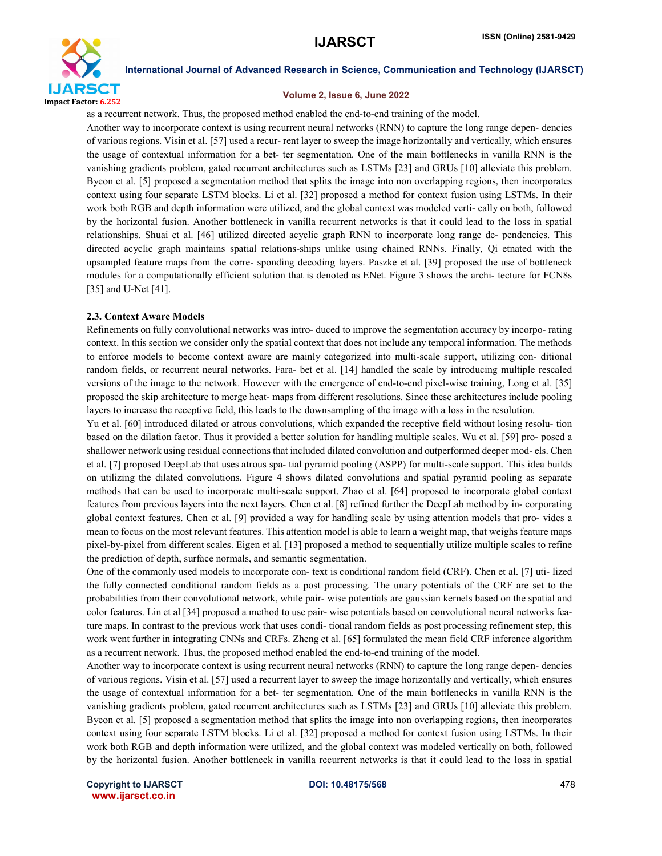

#### Volume 2, Issue 6, June 2022

as a recurrent network. Thus, the proposed method enabled the end-to-end training of the model.

Another way to incorporate context is using recurrent neural networks (RNN) to capture the long range depen- dencies of various regions. Visin et al. [57] used a recur- rent layer to sweep the image horizontally and vertically, which ensures the usage of contextual information for a bet- ter segmentation. One of the main bottlenecks in vanilla RNN is the vanishing gradients problem, gated recurrent architectures such as LSTMs [23] and GRUs [10] alleviate this problem. Byeon et al. [5] proposed a segmentation method that splits the image into non overlapping regions, then incorporates context using four separate LSTM blocks. Li et al. [32] proposed a method for context fusion using LSTMs. In their work both RGB and depth information were utilized, and the global context was modeled verti- cally on both, followed by the horizontal fusion. Another bottleneck in vanilla recurrent networks is that it could lead to the loss in spatial relationships. Shuai et al. [46] utilized directed acyclic graph RNN to incorporate long range de- pendencies. This directed acyclic graph maintains spatial relations-ships unlike using chained RNNs. Finally, Qi etnated with the upsampled feature maps from the corre- sponding decoding layers. Paszke et al. [39] proposed the use of bottleneck modules for a computationally efficient solution that is denoted as ENet. Figure 3 shows the archi- tecture for FCN8s [35] and U-Net [41].

#### 2.3. Context Aware Models

Refinements on fully convolutional networks was intro- duced to improve the segmentation accuracy by incorpo- rating context. In this section we consider only the spatial context that does not include any temporal information. The methods to enforce models to become context aware are mainly categorized into multi-scale support, utilizing con- ditional random fields, or recurrent neural networks. Fara- bet et al. [14] handled the scale by introducing multiple rescaled versions of the image to the network. However with the emergence of end-to-end pixel-wise training, Long et al. [35] proposed the skip architecture to merge heat- maps from different resolutions. Since these architectures include pooling layers to increase the receptive field, this leads to the downsampling of the image with a loss in the resolution.

Yu et al. [60] introduced dilated or atrous convolutions, which expanded the receptive field without losing resolu- tion based on the dilation factor. Thus it provided a better solution for handling multiple scales. Wu et al. [59] pro- posed a shallower network using residual connections that included dilated convolution and outperformed deeper mod- els. Chen et al. [7] proposed DeepLab that uses atrous spa- tial pyramid pooling (ASPP) for multi-scale support. This idea builds on utilizing the dilated convolutions. Figure 4 shows dilated convolutions and spatial pyramid pooling as separate methods that can be used to incorporate multi-scale support. Zhao et al. [64] proposed to incorporate global context features from previous layers into the next layers. Chen et al. [8] refined further the DeepLab method by in- corporating global context features. Chen et al. [9] provided a way for handling scale by using attention models that pro- vides a mean to focus on the most relevant features. This attention model is able to learn a weight map, that weighs feature maps pixel-by-pixel from different scales. Eigen et al. [13] proposed a method to sequentially utilize multiple scales to refine the prediction of depth, surface normals, and semantic segmentation.

One of the commonly used models to incorporate con- text is conditional random field (CRF). Chen et al. [7] uti- lized the fully connected conditional random fields as a post processing. The unary potentials of the CRF are set to the probabilities from their convolutional network, while pair- wise potentials are gaussian kernels based on the spatial and color features. Lin et al [34] proposed a method to use pair- wise potentials based on convolutional neural networks feature maps. In contrast to the previous work that uses condi- tional random fields as post processing refinement step, this work went further in integrating CNNs and CRFs. Zheng et al. [65] formulated the mean field CRF inference algorithm as a recurrent network. Thus, the proposed method enabled the end-to-end training of the model.

Another way to incorporate context is using recurrent neural networks (RNN) to capture the long range depen- dencies of various regions. Visin et al. [57] used a recurrent layer to sweep the image horizontally and vertically, which ensures the usage of contextual information for a bet- ter segmentation. One of the main bottlenecks in vanilla RNN is the vanishing gradients problem, gated recurrent architectures such as LSTMs [23] and GRUs [10] alleviate this problem. Byeon et al. [5] proposed a segmentation method that splits the image into non overlapping regions, then incorporates context using four separate LSTM blocks. Li et al. [32] proposed a method for context fusion using LSTMs. In their work both RGB and depth information were utilized, and the global context was modeled vertically on both, followed by the horizontal fusion. Another bottleneck in vanilla recurrent networks is that it could lead to the loss in spatial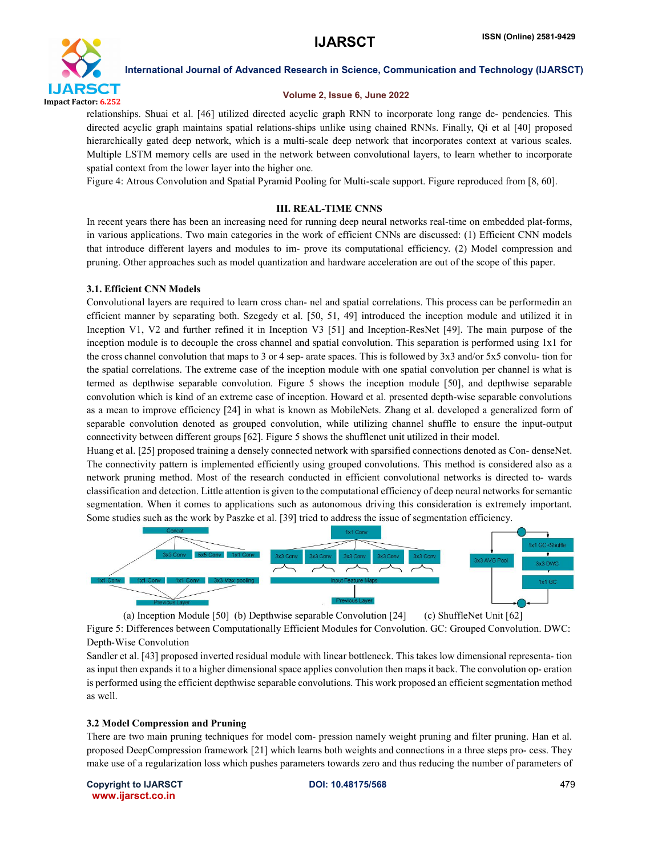

### Volume 2, Issue 6, June 2022

relationships. Shuai et al. [46] utilized directed acyclic graph RNN to incorporate long range de- pendencies. This directed acyclic graph maintains spatial relations-ships unlike using chained RNNs. Finally, Qi et al [40] proposed hierarchically gated deep network, which is a multi-scale deep network that incorporates context at various scales. Multiple LSTM memory cells are used in the network between convolutional layers, to learn whether to incorporate spatial context from the lower layer into the higher one.

Figure 4: Atrous Convolution and Spatial Pyramid Pooling for Multi-scale support. Figure reproduced from [8, 60].

#### III. REAL-TIME CNNS

In recent years there has been an increasing need for running deep neural networks real-time on embedded plat-forms, in various applications. Two main categories in the work of efficient CNNs are discussed: (1) Efficient CNN models that introduce different layers and modules to im- prove its computational efficiency. (2) Model compression and pruning. Other approaches such as model quantization and hardware acceleration are out of the scope of this paper.

#### 3.1. Efficient CNN Models

Convolutional layers are required to learn cross chan- nel and spatial correlations. This process can be performedin an efficient manner by separating both. Szegedy et al. [50, 51, 49] introduced the inception module and utilized it in Inception V1, V2 and further refined it in Inception V3 [51] and Inception-ResNet [49]. The main purpose of the inception module is to decouple the cross channel and spatial convolution. This separation is performed using 1x1 for the cross channel convolution that maps to 3 or 4 sep- arate spaces. This is followed by 3x3 and/or 5x5 convolu- tion for the spatial correlations. The extreme case of the inception module with one spatial convolution per channel is what is termed as depthwise separable convolution. Figure 5 shows the inception module [50], and depthwise separable convolution which is kind of an extreme case of inception. Howard et al. presented depth-wise separable convolutions as a mean to improve efficiency [24] in what is known as MobileNets. Zhang et al. developed a generalized form of separable convolution denoted as grouped convolution, while utilizing channel shuffle to ensure the input-output connectivity between different groups [62]. Figure 5 shows the shufflenet unit utilized in their model.

Huang et al. [25] proposed training a densely connected network with sparsified connections denoted as Con- denseNet. The connectivity pattern is implemented efficiently using grouped convolutions. This method is considered also as a network pruning method. Most of the research conducted in efficient convolutional networks is directed to- wards classification and detection. Little attention is given to the computational efficiency of deep neural networks for semantic segmentation. When it comes to applications such as autonomous driving this consideration is extremely important. Some studies such as the work by Paszke et al. [39] tried to address the issue of segmentation efficiency.



(a) Inception Module [50] (b) Depthwise separable Convolution [24] (c) ShuffleNet Unit [62] Figure 5: Differences between Computationally Efficient Modules for Convolution. GC: Grouped Convolution. DWC: Depth-Wise Convolution

Sandler et al. [43] proposed inverted residual module with linear bottleneck. This takes low dimensional representa- tion as input then expands it to a higher dimensional space applies convolution then maps it back. The convolution op- eration is performed using the efficient depthwise separable convolutions. This work proposed an efficient segmentation method as well.

#### 3.2 Model Compression and Pruning

There are two main pruning techniques for model com- pression namely weight pruning and filter pruning. Han et al. proposed DeepCompression framework [21] which learns both weights and connections in a three steps pro- cess. They make use of a regularization loss which pushes parameters towards zero and thus reducing the number of parameters of

Copyright to IJARSCT **DOI: 10.48175/568** 479 www.ijarsct.co.in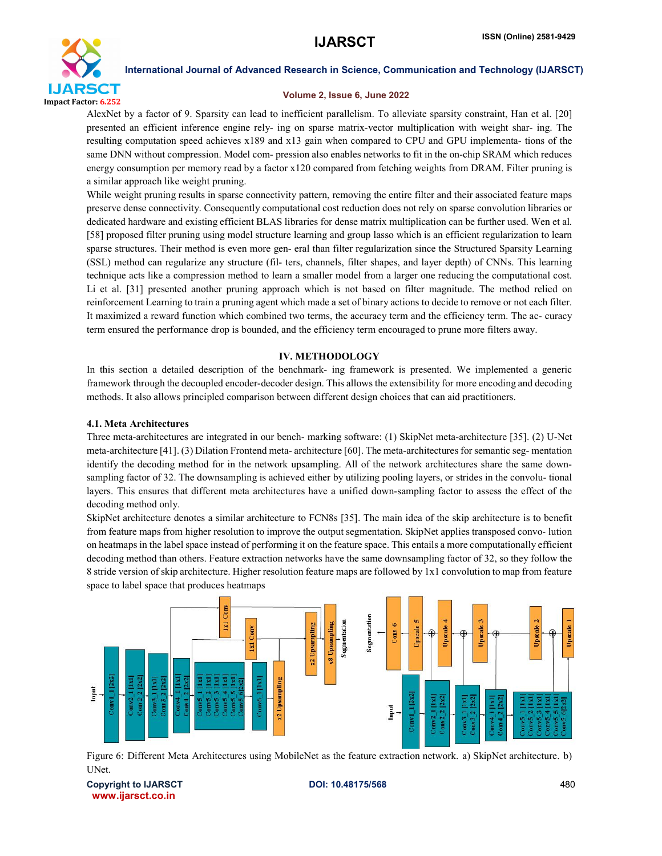

#### Volume 2, Issue 6, June 2022

AlexNet by a factor of 9. Sparsity can lead to inefficient parallelism. To alleviate sparsity constraint, Han et al. [20] presented an efficient inference engine rely- ing on sparse matrix-vector multiplication with weight shar- ing. The resulting computation speed achieves x189 and x13 gain when compared to CPU and GPU implementa- tions of the same DNN without compression. Model com- pression also enables networks to fit in the on-chip SRAM which reduces energy consumption per memory read by a factor x120 compared from fetching weights from DRAM. Filter pruning is a similar approach like weight pruning.

While weight pruning results in sparse connectivity pattern, removing the entire filter and their associated feature maps preserve dense connectivity. Consequently computational cost reduction does not rely on sparse convolution libraries or dedicated hardware and existing efficient BLAS libraries for dense matrix multiplication can be further used. Wen et al. [58] proposed filter pruning using model structure learning and group lasso which is an efficient regularization to learn sparse structures. Their method is even more gen- eral than filter regularization since the Structured Sparsity Learning (SSL) method can regularize any structure (fil- ters, channels, filter shapes, and layer depth) of CNNs. This learning technique acts like a compression method to learn a smaller model from a larger one reducing the computational cost. Li et al. [31] presented another pruning approach which is not based on filter magnitude. The method relied on reinforcement Learning to train a pruning agent which made a set of binary actions to decide to remove or not each filter. It maximized a reward function which combined two terms, the accuracy term and the efficiency term. The ac- curacy term ensured the performance drop is bounded, and the efficiency term encouraged to prune more filters away.

#### IV. METHODOLOGY

In this section a detailed description of the benchmark- ing framework is presented. We implemented a generic framework through the decoupled encoder-decoder design. This allows the extensibility for more encoding and decoding methods. It also allows principled comparison between different design choices that can aid practitioners.

#### 4.1. Meta Architectures

Three meta-architectures are integrated in our bench- marking software: (1) SkipNet meta-architecture [35]. (2) U-Net meta-architecture [41]. (3) Dilation Frontend meta- architecture [60]. The meta-architectures for semantic seg- mentation identify the decoding method for in the network upsampling. All of the network architectures share the same downsampling factor of 32. The downsampling is achieved either by utilizing pooling layers, or strides in the convolu- tional layers. This ensures that different meta architectures have a unified down-sampling factor to assess the effect of the decoding method only.

SkipNet architecture denotes a similar architecture to FCN8s [35]. The main idea of the skip architecture is to benefit from feature maps from higher resolution to improve the output segmentation. SkipNet applies transposed convo- lution on heatmaps in the label space instead of performing it on the feature space. This entails a more computationally efficient decoding method than others. Feature extraction networks have the same downsampling factor of 32, so they follow the 8 stride version of skip architecture. Higher resolution feature maps are followed by 1x1 convolution to map from feature space to label space that produces heatmaps



Figure 6: Different Meta Architectures using MobileNet as the feature extraction network. a) SkipNet architecture. b) UNet.

Copyright to IJARSCT **DOI: 10.48175/568** 480 www.ijarsct.co.in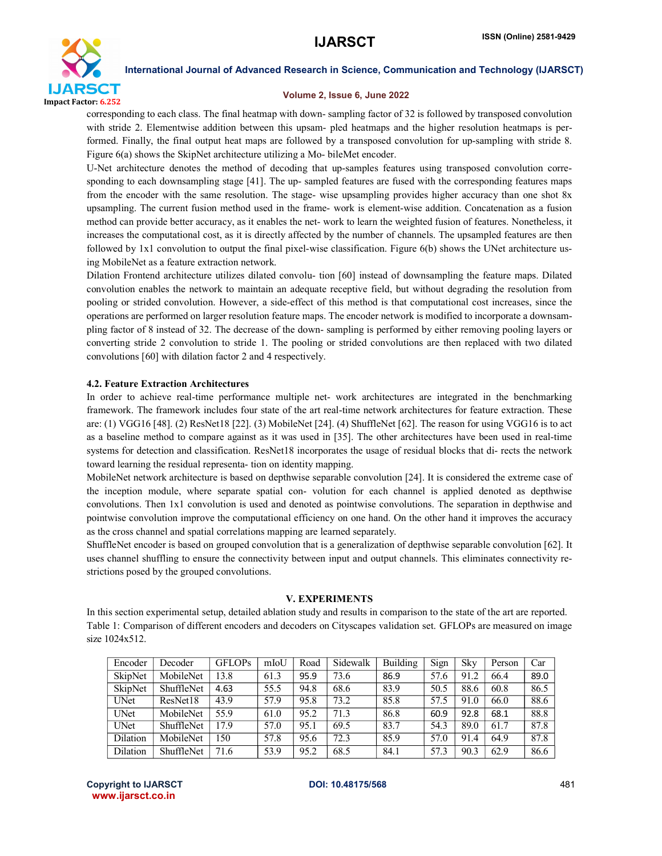

#### Volume 2, Issue 6, June 2022

corresponding to each class. The final heatmap with down- sampling factor of 32 is followed by transposed convolution with stride 2. Elementwise addition between this upsam- pled heatmaps and the higher resolution heatmaps is performed. Finally, the final output heat maps are followed by a transposed convolution for up-sampling with stride 8. Figure 6(a) shows the SkipNet architecture utilizing a Mo- bileMet encoder.

U-Net architecture denotes the method of decoding that up-samples features using transposed convolution corresponding to each downsampling stage [41]. The up- sampled features are fused with the corresponding features maps from the encoder with the same resolution. The stage- wise upsampling provides higher accuracy than one shot 8x upsampling. The current fusion method used in the frame- work is element-wise addition. Concatenation as a fusion method can provide better accuracy, as it enables the net- work to learn the weighted fusion of features. Nonetheless, it increases the computational cost, as it is directly affected by the number of channels. The upsampled features are then followed by 1x1 convolution to output the final pixel-wise classification. Figure 6(b) shows the UNet architecture using MobileNet as a feature extraction network.

Dilation Frontend architecture utilizes dilated convolu- tion [60] instead of downsampling the feature maps. Dilated convolution enables the network to maintain an adequate receptive field, but without degrading the resolution from pooling or strided convolution. However, a side-effect of this method is that computational cost increases, since the operations are performed on larger resolution feature maps. The encoder network is modified to incorporate a downsampling factor of 8 instead of 32. The decrease of the down- sampling is performed by either removing pooling layers or converting stride 2 convolution to stride 1. The pooling or strided convolutions are then replaced with two dilated convolutions [60] with dilation factor 2 and 4 respectively.

### 4.2. Feature Extraction Architectures

In order to achieve real-time performance multiple net- work architectures are integrated in the benchmarking framework. The framework includes four state of the art real-time network architectures for feature extraction. These are: (1) VGG16 [48]. (2) ResNet18 [22]. (3) MobileNet [24]. (4) ShuffleNet [62]. The reason for using VGG16 is to act as a baseline method to compare against as it was used in [35]. The other architectures have been used in real-time systems for detection and classification. ResNet18 incorporates the usage of residual blocks that di- rects the network toward learning the residual representa- tion on identity mapping.

MobileNet network architecture is based on depthwise separable convolution [24]. It is considered the extreme case of the inception module, where separate spatial con- volution for each channel is applied denoted as depthwise convolutions. Then 1x1 convolution is used and denoted as pointwise convolutions. The separation in depthwise and pointwise convolution improve the computational efficiency on one hand. On the other hand it improves the accuracy as the cross channel and spatial correlations mapping are learned separately.

ShuffleNet encoder is based on grouped convolution that is a generalization of depthwise separable convolution [62]. It uses channel shuffling to ensure the connectivity between input and output channels. This eliminates connectivity restrictions posed by the grouped convolutions.

#### V. EXPERIMENTS

In this section experimental setup, detailed ablation study and results in comparison to the state of the art are reported. Table 1: Comparison of different encoders and decoders on Cityscapes validation set. GFLOPs are measured on image size 1024x512.

| Encoder     | Decoder           | <b>GFLOPs</b> | mIoU | Road | Sidewalk | <b>Building</b> | Sign | Skv  | Person | Car  |
|-------------|-------------------|---------------|------|------|----------|-----------------|------|------|--------|------|
| SkipNet     | MobileNet         | 13.8          | 61.3 | 95.9 | 73.6     | 86.9            | 57.6 | 91.2 | 66.4   | 89.0 |
| SkipNet     | ShuffleNet        | 4.63          | 55.5 | 94.8 | 68.6     | 83.9            | 50.5 | 88.6 | 60.8   | 86.5 |
| <b>UNet</b> | ResNet18          | 43.9          | 57.9 | 95.8 | 73.2     | 85.8            | 57.5 | 91.0 | 66.0   | 88.6 |
| <b>UNet</b> | MobileNet         | 55.9          | 61.0 | 95.2 | 71.3     | 86.8            | 60.9 | 92.8 | 68.1   | 88.8 |
| <b>UNet</b> | <b>ShuffleNet</b> | 17.9          | 57.0 | 95.1 | 69.5     | 83.7            | 54.3 | 89.0 | 61.7   | 87.8 |
| Dilation    | MobileNet         | 150           | 57.8 | 95.6 | 72.3     | 85.9            | 57.0 | 91.4 | 64.9   | 87.8 |
| Dilation    | ShuffleNet        | 71.6          | 53.9 | 95.2 | 68.5     | 84.1            | 57.3 | 90.3 | 62.9   | 86.6 |

Copyright to IJARSCT **DOI: 10.48175/568** 481 www.ijarsct.co.in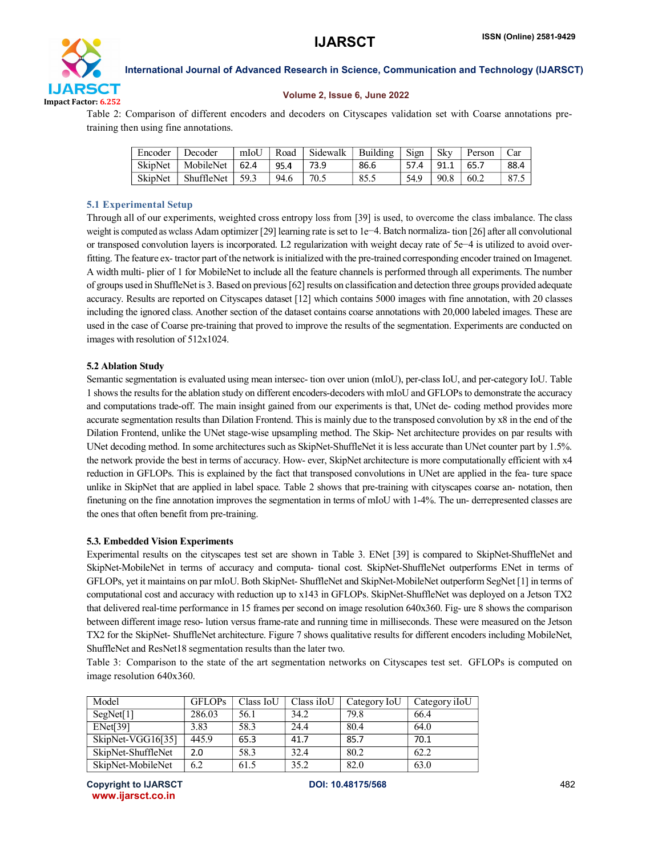

#### Volume 2, Issue 6, June 2022

Table 2: Comparison of different encoders and decoders on Cityscapes validation set with Coarse annotations pretraining then using fine annotations.

| Encoder | Decoder    | mIoU | Road | Sidewalk | <b>Building</b> | Sign | <b>Skv</b> | Person | Car  |
|---------|------------|------|------|----------|-----------------|------|------------|--------|------|
| SkipNet | MobileNet  | 62.4 | 95.4 | 73.9     | 86.6            | 57.4 | 91.1       | 65.7   | 88.4 |
| SkipNet | ShuffleNet | 59.3 | 94.6 | 70.5     | 85.5            | 54.9 | 90.8       | 60.2   | 87.5 |

#### 5.1 Experimental Setup

Through all of our experiments, weighted cross entropy loss from [39] is used, to overcome the class imbalance. The class weight is computed as wclass Adam optimizer [29] learning rate is set to 1e−4. Batch normaliza- tion [26] after all convolutional or transposed convolution layers is incorporated. L2 regularization with weight decay rate of 5e−4 is utilized to avoid overfitting. The feature ex- tractor part of the network is initialized with the pre-trained corresponding encoder trained on Imagenet. A width multi- plier of 1 for MobileNet to include all the feature channels is performed through all experiments. The number of groups used in ShuffleNet is 3. Based on previous [62] results on classification and detection three groups provided adequate accuracy. Results are reported on Cityscapes dataset [12] which contains 5000 images with fine annotation, with 20 classes including the ignored class. Another section of the dataset contains coarse annotations with 20,000 labeled images. These are used in the case of Coarse pre-training that proved to improve the results of the segmentation. Experiments are conducted on images with resolution of 512x1024.

#### 5.2 Ablation Study

Semantic segmentation is evaluated using mean intersec- tion over union (mIoU), per-class IoU, and per-category IoU. Table 1 shows the results for the ablation study on different encoders-decoders with mIoU and GFLOPs to demonstrate the accuracy and computations trade-off. The main insight gained from our experiments is that, UNet de- coding method provides more accurate segmentation results than Dilation Frontend. This is mainly due to the transposed convolution by x8 in the end of the Dilation Frontend, unlike the UNet stage-wise upsampling method. The Skip- Net architecture provides on par results with UNet decoding method. In some architectures such as SkipNet-ShuffleNet it is less accurate than UNet counter part by 1.5%. the network provide the best in terms of accuracy. How- ever, SkipNet architecture is more computationally efficient with x4 reduction in GFLOPs. This is explained by the fact that transposed convolutions in UNet are applied in the fea- ture space unlike in SkipNet that are applied in label space. Table 2 shows that pre-training with cityscapes coarse an- notation, then finetuning on the fine annotation improves the segmentation in terms of mIoU with 1-4%. The un- derrepresented classes are the ones that often benefit from pre-training.

#### 5.3. Embedded Vision Experiments

Experimental results on the cityscapes test set are shown in Table 3. ENet [39] is compared to SkipNet-ShuffleNet and SkipNet-MobileNet in terms of accuracy and computa- tional cost. SkipNet-ShuffleNet outperforms ENet in terms of GFLOPs, yet it maintains on par mIoU. Both SkipNet- ShuffleNet and SkipNet-MobileNet outperform SegNet [1] in terms of computational cost and accuracy with reduction up to x143 in GFLOPs. SkipNet-ShuffleNet was deployed on a Jetson TX2 that delivered real-time performance in 15 frames per second on image resolution 640x360. Fig- ure 8 shows the comparison between different image reso- lution versus frame-rate and running time in milliseconds. These were measured on the Jetson TX2 for the SkipNet- ShuffleNet architecture. Figure 7 shows qualitative results for different encoders including MobileNet, ShuffleNet and ResNet18 segmentation results than the later two.

Table 3: Comparison to the state of the art segmentation networks on Cityscapes test set. GFLOPs is computed on image resolution 640x360.

| Model              | <b>GFLOPs</b> | Class IoU | Class iIoU | Category IoU | Category iIoU |
|--------------------|---------------|-----------|------------|--------------|---------------|
| SegNet[1]          | 286.03        | 56.1      | 34.2       | 79.8         | 66.4          |
| ENet[39]           | 3.83          | 58.3      | 24.4       | 80.4         | 64.0          |
| SkipNet-VGG16[35]  | 445.9         | 65.3      | 41.7       | 85.7         | 70.1          |
| SkipNet-ShuffleNet | 2.0           | 58.3      | 32.4       | 80.2         | 62.2          |
| SkipNet-MobileNet  | 6.2           | 61.5      | 35.2       | 82.0         | 63.0          |

Copyright to IJARSCT **DOI: 10.48175/568** 482 www.ijarsct.co.in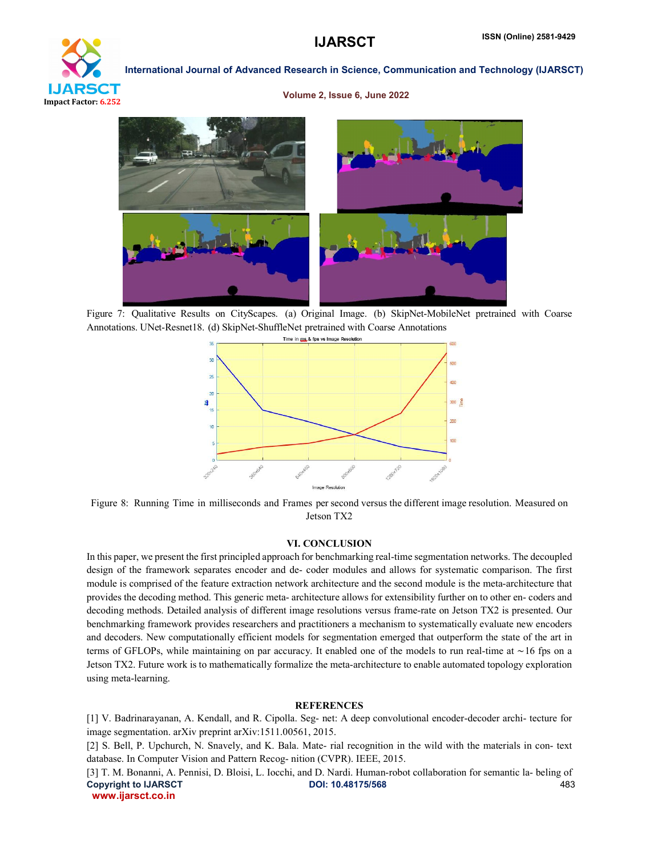

#### Volume 2, Issue 6, June 2022



Figure 7: Qualitative Results on CityScapes. (a) Original Image. (b) SkipNet-MobileNet pretrained with Coarse Annotations. UNet-Resnet18. (d) SkipNet-ShuffleNet pretrained with Coarse Annotations



Figure 8: Running Time in milliseconds and Frames per second versus the different image resolution. Measured on Jetson TX2

#### VI. CONCLUSION

In this paper, we present the first principled approach for benchmarking real-time segmentation networks. The decoupled design of the framework separates encoder and de- coder modules and allows for systematic comparison. The first module is comprised of the feature extraction network architecture and the second module is the meta-architecture that provides the decoding method. This generic meta- architecture allows for extensibility further on to other en- coders and decoding methods. Detailed analysis of different image resolutions versus frame-rate on Jetson TX2 is presented. Our benchmarking framework provides researchers and practitioners a mechanism to systematically evaluate new encoders and decoders. New computationally efficient models for segmentation emerged that outperform the state of the art in terms of GFLOPs, while maintaining on par accuracy. It enabled one of the models to run real-time at ∼16 fps on a Jetson TX2. Future work is to mathematically formalize the meta-architecture to enable automated topology exploration using meta-learning.

#### **REFERENCES**

[1] V. Badrinarayanan, A. Kendall, and R. Cipolla. Seg- net: A deep convolutional encoder-decoder archi- tecture for image segmentation. arXiv preprint arXiv:1511.00561, 2015.

[2] S. Bell, P. Upchurch, N. Snavely, and K. Bala. Mate- rial recognition in the wild with the materials in con- text database. In Computer Vision and Pattern Recog- nition (CVPR). IEEE, 2015.

Copyright to IJARSCT DOI: 10.48175/568 483 www.ijarsct.co.in [3] T. M. Bonanni, A. Pennisi, D. Bloisi, L. Iocchi, and D. Nardi. Human-robot collaboration for semantic la- beling of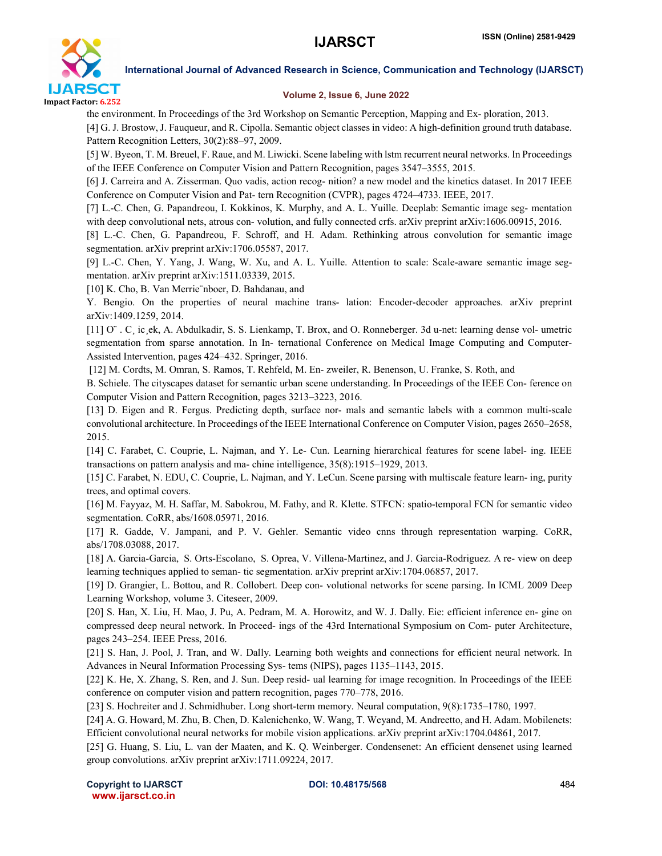

#### Volume 2, Issue 6, June 2022

the environment. In Proceedings of the 3rd Workshop on Semantic Perception, Mapping and Ex- ploration, 2013.

[4] G. J. Brostow, J. Fauqueur, and R. Cipolla. Semantic object classes in video: A high-definition ground truth database. Pattern Recognition Letters, 30(2):88–97, 2009.

[5] W. Byeon, T. M. Breuel, F. Raue, and M. Liwicki. Scene labeling with lstm recurrent neural networks. In Proceedings of the IEEE Conference on Computer Vision and Pattern Recognition, pages 3547–3555, 2015.

[6] J. Carreira and A. Zisserman. Quo vadis, action recog- nition? a new model and the kinetics dataset. In 2017 IEEE Conference on Computer Vision and Pat- tern Recognition (CVPR), pages 4724–4733. IEEE, 2017.

[7] L.-C. Chen, G. Papandreou, I. Kokkinos, K. Murphy, and A. L. Yuille. Deeplab: Semantic image seg- mentation with deep convolutional nets, atrous con- volution, and fully connected crfs. arXiv preprint arXiv:1606.00915, 2016.

[8] L.-C. Chen, G. Papandreou, F. Schroff, and H. Adam. Rethinking atrous convolution for semantic image segmentation. arXiv preprint arXiv:1706.05587, 2017.

[9] L.-C. Chen, Y. Yang, J. Wang, W. Xu, and A. L. Yuille. Attention to scale: Scale-aware semantic image segmentation. arXiv preprint arXiv:1511.03339, 2015.

[10] K. Cho, B. Van Merrie¨nboer, D. Bahdanau, and

Y. Bengio. On the properties of neural machine trans- lation: Encoder-decoder approaches. arXiv preprint arXiv:1409.1259, 2014.

[11] O¨ . C¸ ic¸ek, A. Abdulkadir, S. S. Lienkamp, T. Brox, and O. Ronneberger. 3d u-net: learning dense vol- umetric segmentation from sparse annotation. In In- ternational Conference on Medical Image Computing and Computer-Assisted Intervention, pages 424–432. Springer, 2016.

[12] M. Cordts, M. Omran, S. Ramos, T. Rehfeld, M. En- zweiler, R. Benenson, U. Franke, S. Roth, and

B. Schiele. The cityscapes dataset for semantic urban scene understanding. In Proceedings of the IEEE Con- ference on Computer Vision and Pattern Recognition, pages 3213–3223, 2016.

[13] D. Eigen and R. Fergus. Predicting depth, surface nor- mals and semantic labels with a common multi-scale convolutional architecture. In Proceedings of the IEEE International Conference on Computer Vision, pages 2650–2658, 2015.

[14] C. Farabet, C. Couprie, L. Najman, and Y. Le- Cun. Learning hierarchical features for scene label- ing. IEEE transactions on pattern analysis and ma- chine intelligence, 35(8):1915–1929, 2013.

[15] C. Farabet, N. EDU, C. Couprie, L. Najman, and Y. LeCun. Scene parsing with multiscale feature learn- ing, purity trees, and optimal covers.

[16] M. Fayyaz, M. H. Saffar, M. Sabokrou, M. Fathy, and R. Klette. STFCN: spatio-temporal FCN for semantic video segmentation. CoRR, abs/1608.05971, 2016.

[17] R. Gadde, V. Jampani, and P. V. Gehler. Semantic video cnns through representation warping. CoRR, abs/1708.03088, 2017.

[18] A. Garcia-Garcia, S. Orts-Escolano, S. Oprea, V. Villena-Martinez, and J. Garcia-Rodriguez. A re- view on deep learning techniques applied to seman- tic segmentation. arXiv preprint arXiv:1704.06857, 2017.

[19] D. Grangier, L. Bottou, and R. Collobert. Deep con- volutional networks for scene parsing. In ICML 2009 Deep Learning Workshop, volume 3. Citeseer, 2009.

[20] S. Han, X. Liu, H. Mao, J. Pu, A. Pedram, M. A. Horowitz, and W. J. Dally. Eie: efficient inference en- gine on compressed deep neural network. In Proceed- ings of the 43rd International Symposium on Com- puter Architecture, pages 243–254. IEEE Press, 2016.

[21] S. Han, J. Pool, J. Tran, and W. Dally. Learning both weights and connections for efficient neural network. In Advances in Neural Information Processing Sys- tems (NIPS), pages 1135–1143, 2015.

[22] K. He, X. Zhang, S. Ren, and J. Sun. Deep resid- ual learning for image recognition. In Proceedings of the IEEE conference on computer vision and pattern recognition, pages 770–778, 2016.

[23] S. Hochreiter and J. Schmidhuber. Long short-term memory. Neural computation, 9(8):1735–1780, 1997.

[24] A. G. Howard, M. Zhu, B. Chen, D. Kalenichenko, W. Wang, T. Weyand, M. Andreetto, and H. Adam. Mobilenets: Efficient convolutional neural networks for mobile vision applications. arXiv preprint arXiv:1704.04861, 2017.

[25] G. Huang, S. Liu, L. van der Maaten, and K. Q. Weinberger. Condensenet: An efficient densenet using learned group convolutions. arXiv preprint arXiv:1711.09224, 2017.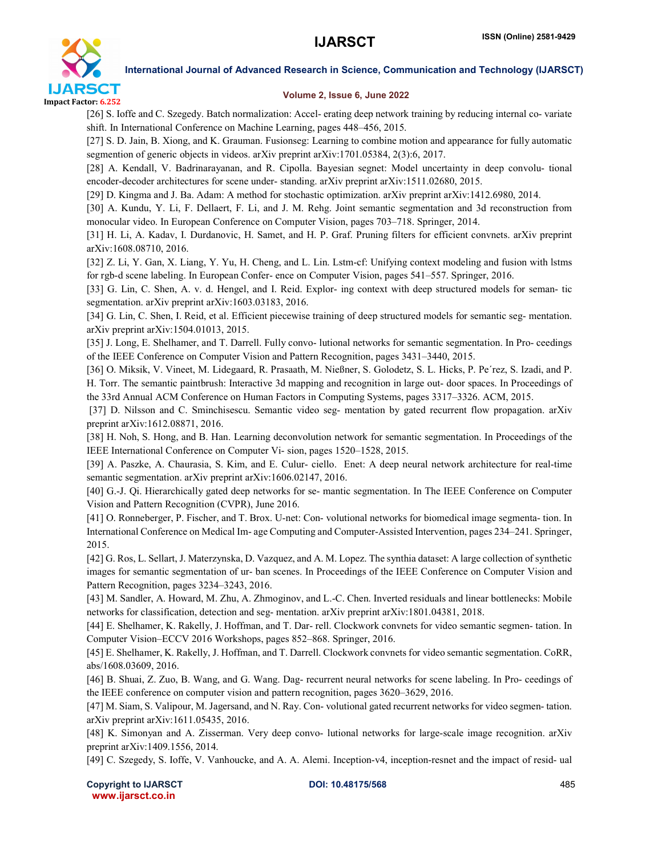

#### Volume 2, Issue 6, June 2022

[26] S. Ioffe and C. Szegedy. Batch normalization: Accel- erating deep network training by reducing internal co- variate shift. In International Conference on Machine Learning, pages 448–456, 2015.

[27] S. D. Jain, B. Xiong, and K. Grauman. Fusionseg: Learning to combine motion and appearance for fully automatic segmention of generic objects in videos. arXiv preprint arXiv:1701.05384, 2(3):6, 2017.

[28] A. Kendall, V. Badrinarayanan, and R. Cipolla. Bayesian segnet: Model uncertainty in deep convolu- tional encoder-decoder architectures for scene under- standing. arXiv preprint arXiv:1511.02680, 2015.

[29] D. Kingma and J. Ba. Adam: A method for stochastic optimization. arXiv preprint arXiv:1412.6980, 2014.

[30] A. Kundu, Y. Li, F. Dellaert, F. Li, and J. M. Rehg. Joint semantic segmentation and 3d reconstruction from monocular video. In European Conference on Computer Vision, pages 703–718. Springer, 2014.

[31] H. Li, A. Kadav, I. Durdanovic, H. Samet, and H. P. Graf. Pruning filters for efficient convnets. arXiv preprint arXiv:1608.08710, 2016.

[32] Z. Li, Y. Gan, X. Liang, Y. Yu, H. Cheng, and L. Lin. Lstm-cf: Unifying context modeling and fusion with lstms for rgb-d scene labeling. In European Confer- ence on Computer Vision, pages 541–557. Springer, 2016.

[33] G. Lin, C. Shen, A. v. d. Hengel, and I. Reid. Explor- ing context with deep structured models for seman- tic segmentation. arXiv preprint arXiv:1603.03183, 2016.

[34] G. Lin, C. Shen, I. Reid, et al. Efficient piecewise training of deep structured models for semantic seg- mentation. arXiv preprint arXiv:1504.01013, 2015.

[35] J. Long, E. Shelhamer, and T. Darrell. Fully convo- lutional networks for semantic segmentation. In Pro- ceedings of the IEEE Conference on Computer Vision and Pattern Recognition, pages 3431–3440, 2015.

[36] O. Miksik, V. Vineet, M. Lidegaard, R. Prasaath, M. Nießner, S. Golodetz, S. L. Hicks, P. Pe´rez, S. Izadi, and P. H. Torr. The semantic paintbrush: Interactive 3d mapping and recognition in large out- door spaces. In Proceedings of the 33rd Annual ACM Conference on Human Factors in Computing Systems, pages 3317–3326. ACM, 2015.

[37] D. Nilsson and C. Sminchisescu. Semantic video seg- mentation by gated recurrent flow propagation. arXiv preprint arXiv:1612.08871, 2016.

[38] H. Noh, S. Hong, and B. Han. Learning deconvolution network for semantic segmentation. In Proceedings of the IEEE International Conference on Computer Vi- sion, pages 1520–1528, 2015.

[39] A. Paszke, A. Chaurasia, S. Kim, and E. Culur- ciello. Enet: A deep neural network architecture for real-time semantic segmentation. arXiv preprint arXiv:1606.02147, 2016.

[40] G.-J. Qi. Hierarchically gated deep networks for se- mantic segmentation. In The IEEE Conference on Computer Vision and Pattern Recognition (CVPR), June 2016.

[41] O. Ronneberger, P. Fischer, and T. Brox. U-net: Con- volutional networks for biomedical image segmenta- tion. In International Conference on Medical Im- age Computing and Computer-Assisted Intervention, pages 234–241. Springer, 2015.

[42] G. Ros, L. Sellart, J. Materzynska, D. Vazquez, and A. M. Lopez. The synthia dataset: A large collection of synthetic images for semantic segmentation of ur- ban scenes. In Proceedings of the IEEE Conference on Computer Vision and Pattern Recognition, pages 3234–3243, 2016.

[43] M. Sandler, A. Howard, M. Zhu, A. Zhmoginov, and L.-C. Chen. Inverted residuals and linear bottlenecks: Mobile networks for classification, detection and seg- mentation. arXiv preprint arXiv:1801.04381, 2018.

[44] E. Shelhamer, K. Rakelly, J. Hoffman, and T. Dar- rell. Clockwork convnets for video semantic segmen- tation. In Computer Vision–ECCV 2016 Workshops, pages 852–868. Springer, 2016.

[45] E. Shelhamer, K. Rakelly, J. Hoffman, and T. Darrell. Clockwork convnets for video semantic segmentation. CoRR, abs/1608.03609, 2016.

[46] B. Shuai, Z. Zuo, B. Wang, and G. Wang. Dag- recurrent neural networks for scene labeling. In Pro- ceedings of the IEEE conference on computer vision and pattern recognition, pages 3620–3629, 2016.

[47] M. Siam, S. Valipour, M. Jagersand, and N. Ray. Con- volutional gated recurrent networks for video segmen- tation. arXiv preprint arXiv:1611.05435, 2016.

[48] K. Simonyan and A. Zisserman. Very deep convo- lutional networks for large-scale image recognition. arXiv preprint arXiv:1409.1556, 2014.

[49] C. Szegedy, S. Ioffe, V. Vanhoucke, and A. A. Alemi. Inception-v4, inception-resnet and the impact of resid- ual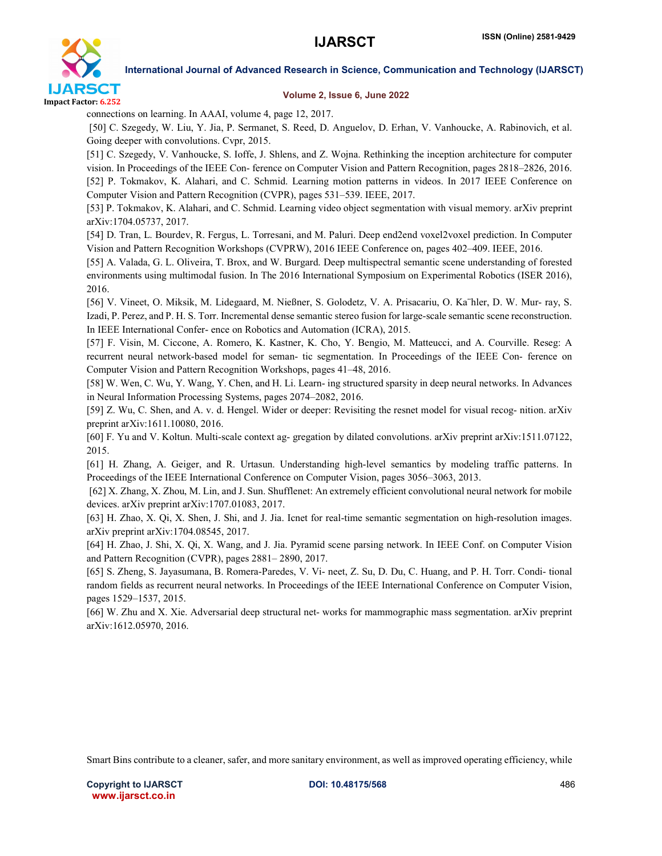

#### Volume 2, Issue 6, June 2022

connections on learning. In AAAI, volume 4, page 12, 2017.

[50] C. Szegedy, W. Liu, Y. Jia, P. Sermanet, S. Reed, D. Anguelov, D. Erhan, V. Vanhoucke, A. Rabinovich, et al. Going deeper with convolutions. Cvpr, 2015.

[51] C. Szegedy, V. Vanhoucke, S. Ioffe, J. Shlens, and Z. Wojna. Rethinking the inception architecture for computer vision. In Proceedings of the IEEE Con- ference on Computer Vision and Pattern Recognition, pages 2818–2826, 2016. [52] P. Tokmakov, K. Alahari, and C. Schmid. Learning motion patterns in videos. In 2017 IEEE Conference on Computer Vision and Pattern Recognition (CVPR), pages 531–539. IEEE, 2017.

[53] P. Tokmakov, K. Alahari, and C. Schmid. Learning video object segmentation with visual memory. arXiv preprint arXiv:1704.05737, 2017.

[54] D. Tran, L. Bourdev, R. Fergus, L. Torresani, and M. Paluri. Deep end2end voxel2voxel prediction. In Computer Vision and Pattern Recognition Workshops (CVPRW), 2016 IEEE Conference on, pages 402–409. IEEE, 2016.

[55] A. Valada, G. L. Oliveira, T. Brox, and W. Burgard. Deep multispectral semantic scene understanding of forested environments using multimodal fusion. In The 2016 International Symposium on Experimental Robotics (ISER 2016), 2016.

[56] V. Vineet, O. Miksik, M. Lidegaard, M. Nießner, S. Golodetz, V. A. Prisacariu, O. Ka¨hler, D. W. Mur- ray, S. Izadi, P. Perez, and P. H. S. Torr. Incremental dense semantic stereo fusion for large-scale semantic scene reconstruction. In IEEE International Confer- ence on Robotics and Automation (ICRA), 2015.

[57] F. Visin, M. Ciccone, A. Romero, K. Kastner, K. Cho, Y. Bengio, M. Matteucci, and A. Courville. Reseg: A recurrent neural network-based model for seman- tic segmentation. In Proceedings of the IEEE Con- ference on Computer Vision and Pattern Recognition Workshops, pages 41–48, 2016.

[58] W. Wen, C. Wu, Y. Wang, Y. Chen, and H. Li. Learn- ing structured sparsity in deep neural networks. In Advances in Neural Information Processing Systems, pages 2074–2082, 2016.

[59] Z. Wu, C. Shen, and A. v. d. Hengel. Wider or deeper: Revisiting the resnet model for visual recog- nition. arXiv preprint arXiv:1611.10080, 2016.

[60] F. Yu and V. Koltun. Multi-scale context ag- gregation by dilated convolutions. arXiv preprint arXiv:1511.07122, 2015.

[61] H. Zhang, A. Geiger, and R. Urtasun. Understanding high-level semantics by modeling traffic patterns. In Proceedings of the IEEE International Conference on Computer Vision, pages 3056–3063, 2013.

[62] X. Zhang, X. Zhou, M. Lin, and J. Sun. Shufflenet: An extremely efficient convolutional neural network for mobile devices. arXiv preprint arXiv:1707.01083, 2017.

[63] H. Zhao, X. Qi, X. Shen, J. Shi, and J. Jia. Icnet for real-time semantic segmentation on high-resolution images. arXiv preprint arXiv:1704.08545, 2017.

[64] H. Zhao, J. Shi, X. Qi, X. Wang, and J. Jia. Pyramid scene parsing network. In IEEE Conf. on Computer Vision and Pattern Recognition (CVPR), pages 2881– 2890, 2017.

[65] S. Zheng, S. Jayasumana, B. Romera-Paredes, V. Vi- neet, Z. Su, D. Du, C. Huang, and P. H. Torr. Condi- tional random fields as recurrent neural networks. In Proceedings of the IEEE International Conference on Computer Vision, pages 1529–1537, 2015.

[66] W. Zhu and X. Xie. Adversarial deep structural net- works for mammographic mass segmentation. arXiv preprint arXiv:1612.05970, 2016.

Smart Bins contribute to a cleaner, safer, and more sanitary environment, as well as improved operating efficiency, while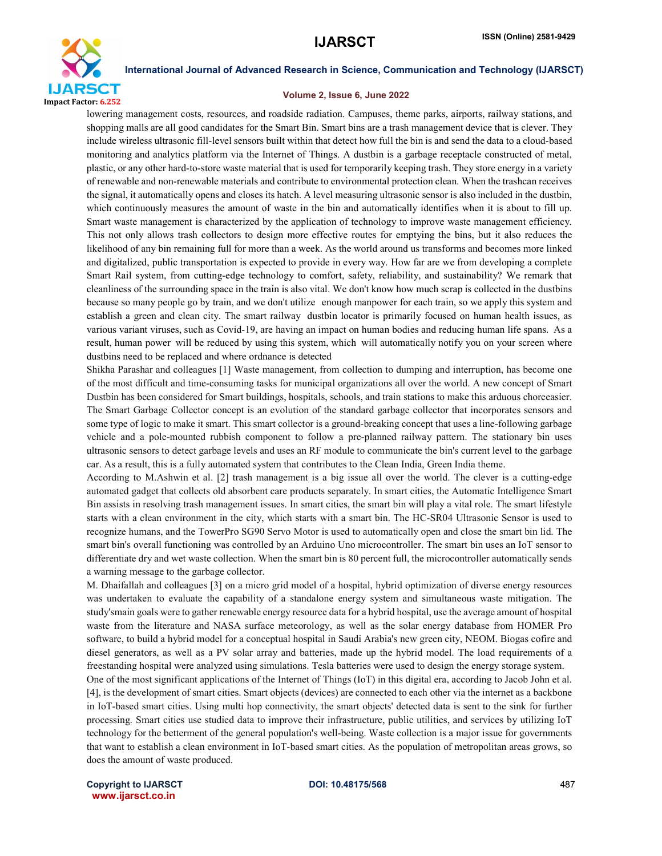

#### Volume 2, Issue 6, June 2022

lowering management costs, resources, and roadside radiation. Campuses, theme parks, airports, railway stations, and shopping malls are all good candidates for the Smart Bin. Smart bins are a trash management device that is clever. They include wireless ultrasonic fill-level sensors built within that detect how full the bin is and send the data to a cloud-based monitoring and analytics platform via the Internet of Things. A dustbin is a garbage receptacle constructed of metal, plastic, or any other hard-to-store waste material that is used for temporarily keeping trash. They store energy in a variety of renewable and non-renewable materials and contribute to environmental protection clean. When the trashcan receives the signal, it automatically opens and closes its hatch. A level measuring ultrasonic sensor is also included in the dustbin, which continuously measures the amount of waste in the bin and automatically identifies when it is about to fill up. Smart waste management is characterized by the application of technology to improve waste management efficiency. This not only allows trash collectors to design more effective routes for emptying the bins, but it also reduces the likelihood of any bin remaining full for more than a week. As the world around us transforms and becomes more linked and digitalized, public transportation is expected to provide in every way. How far are we from developing a complete Smart Rail system, from cutting-edge technology to comfort, safety, reliability, and sustainability? We remark that cleanliness of the surrounding space in the train is also vital. We don't know how much scrap is collected in the dustbins because so many people go by train, and we don't utilize enough manpower for each train, so we apply this system and establish a green and clean city. The smart railway dustbin locator is primarily focused on human health issues, as various variant viruses, such as Covid-19, are having an impact on human bodies and reducing human life spans. As a result, human power will be reduced by using this system, which will automatically notify you on your screen where dustbins need to be replaced and where ordnance is detected

Shikha Parashar and colleagues [1] Waste management, from collection to dumping and interruption, has become one of the most difficult and time-consuming tasks for municipal organizations all over the world. A new concept of Smart Dustbin has been considered for Smart buildings, hospitals, schools, and train stations to make this arduous choreeasier. The Smart Garbage Collector concept is an evolution of the standard garbage collector that incorporates sensors and some type of logic to make it smart. This smart collector is a ground-breaking concept that uses a line-following garbage vehicle and a pole-mounted rubbish component to follow a pre-planned railway pattern. The stationary bin uses ultrasonic sensors to detect garbage levels and uses an RF module to communicate the bin's current level to the garbage car. As a result, this is a fully automated system that contributes to the Clean India, Green India theme.

According to M.Ashwin et al. [2] trash management is a big issue all over the world. The clever is a cutting-edge automated gadget that collects old absorbent care products separately. In smart cities, the Automatic Intelligence Smart Bin assists in resolving trash management issues. In smart cities, the smart bin will play a vital role. The smart lifestyle starts with a clean environment in the city, which starts with a smart bin. The HC-SR04 Ultrasonic Sensor is used to recognize humans, and the TowerPro SG90 Servo Motor is used to automatically open and close the smart bin lid. The smart bin's overall functioning was controlled by an Arduino Uno microcontroller. The smart bin uses an IoT sensor to differentiate dry and wet waste collection. When the smart bin is 80 percent full, the microcontroller automatically sends a warning message to the garbage collector.

M. Dhaifallah and colleagues [3] on a micro grid model of a hospital, hybrid optimization of diverse energy resources was undertaken to evaluate the capability of a standalone energy system and simultaneous waste mitigation. The study'smain goals were to gather renewable energy resource data for a hybrid hospital, use the average amount of hospital waste from the literature and NASA surface meteorology, as well as the solar energy database from HOMER Pro software, to build a hybrid model for a conceptual hospital in Saudi Arabia's new green city, NEOM. Biogas cofire and diesel generators, as well as a PV solar array and batteries, made up the hybrid model. The load requirements of a freestanding hospital were analyzed using simulations. Tesla batteries were used to design the energy storage system. One of the most significant applications of the Internet of Things (IoT) in this digital era, according to Jacob John et al.

[4], is the development of smart cities. Smart objects (devices) are connected to each other via the internet as a backbone in IoT-based smart cities. Using multi hop connectivity, the smart objects' detected data is sent to the sink for further processing. Smart cities use studied data to improve their infrastructure, public utilities, and services by utilizing IoT technology for the betterment of the general population's well-being. Waste collection is a major issue for governments that want to establish a clean environment in IoT-based smart cities. As the population of metropolitan areas grows, so does the amount of waste produced.

Copyright to IJARSCT **DOI: 10.48175/568** 487 www.ijarsct.co.in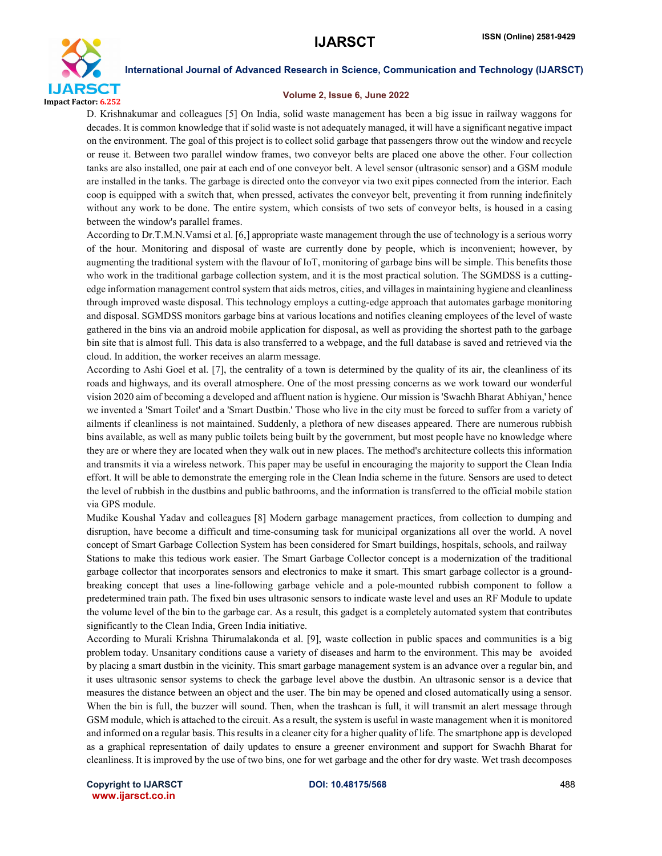

#### Volume 2, Issue 6, June 2022

D. Krishnakumar and colleagues [5] On India, solid waste management has been a big issue in railway waggons for decades. It is common knowledge that if solid waste is not adequately managed, it will have a significant negative impact on the environment. The goal of this project is to collect solid garbage that passengers throw out the window and recycle or reuse it. Between two parallel window frames, two conveyor belts are placed one above the other. Four collection tanks are also installed, one pair at each end of one conveyor belt. A level sensor (ultrasonic sensor) and a GSM module are installed in the tanks. The garbage is directed onto the conveyor via two exit pipes connected from the interior. Each coop is equipped with a switch that, when pressed, activates the conveyor belt, preventing it from running indefinitely without any work to be done. The entire system, which consists of two sets of conveyor belts, is housed in a casing between the window's parallel frames.

According to Dr.T.M.N.Vamsi et al. [6,] appropriate waste management through the use of technology is a serious worry of the hour. Monitoring and disposal of waste are currently done by people, which is inconvenient; however, by augmenting the traditional system with the flavour of IoT, monitoring of garbage bins will be simple. This benefits those who work in the traditional garbage collection system, and it is the most practical solution. The SGMDSS is a cuttingedge information management control system that aids metros, cities, and villages in maintaining hygiene and cleanliness through improved waste disposal. This technology employs a cutting-edge approach that automates garbage monitoring and disposal. SGMDSS monitors garbage bins at various locations and notifies cleaning employees of the level of waste gathered in the bins via an android mobile application for disposal, as well as providing the shortest path to the garbage bin site that is almost full. This data is also transferred to a webpage, and the full database is saved and retrieved via the cloud. In addition, the worker receives an alarm message.

According to Ashi Goel et al. [7], the centrality of a town is determined by the quality of its air, the cleanliness of its roads and highways, and its overall atmosphere. One of the most pressing concerns as we work toward our wonderful vision 2020 aim of becoming a developed and affluent nation is hygiene. Our mission is 'Swachh Bharat Abhiyan,' hence we invented a 'Smart Toilet' and a 'Smart Dustbin.' Those who live in the city must be forced to suffer from a variety of ailments if cleanliness is not maintained. Suddenly, a plethora of new diseases appeared. There are numerous rubbish bins available, as well as many public toilets being built by the government, but most people have no knowledge where they are or where they are located when they walk out in new places. The method's architecture collects this information and transmits it via a wireless network. This paper may be useful in encouraging the majority to support the Clean India effort. It will be able to demonstrate the emerging role in the Clean India scheme in the future. Sensors are used to detect the level of rubbish in the dustbins and public bathrooms, and the information is transferred to the official mobile station via GPS module.

Mudike Koushal Yadav and colleagues [8] Modern garbage management practices, from collection to dumping and disruption, have become a difficult and time-consuming task for municipal organizations all over the world. A novel concept of Smart Garbage Collection System has been considered for Smart buildings, hospitals, schools, and railway Stations to make this tedious work easier. The Smart Garbage Collector concept is a modernization of the traditional garbage collector that incorporates sensors and electronics to make it smart. This smart garbage collector is a groundbreaking concept that uses a line-following garbage vehicle and a pole-mounted rubbish component to follow a predetermined train path. The fixed bin uses ultrasonic sensors to indicate waste level and uses an RF Module to update the volume level of the bin to the garbage car. As a result, this gadget is a completely automated system that contributes significantly to the Clean India, Green India initiative.

According to Murali Krishna Thirumalakonda et al. [9], waste collection in public spaces and communities is a big problem today. Unsanitary conditions cause a variety of diseases and harm to the environment. This may be avoided by placing a smart dustbin in the vicinity. This smart garbage management system is an advance over a regular bin, and it uses ultrasonic sensor systems to check the garbage level above the dustbin. An ultrasonic sensor is a device that measures the distance between an object and the user. The bin may be opened and closed automatically using a sensor. When the bin is full, the buzzer will sound. Then, when the trashcan is full, it will transmit an alert message through GSM module, which is attached to the circuit. As a result, the system is useful in waste management when it is monitored and informed on a regular basis. Thisresults in a cleaner city for a higher quality of life. The smartphone app is developed as a graphical representation of daily updates to ensure a greener environment and support for Swachh Bharat for cleanliness. It is improved by the use of two bins, one for wet garbage and the other for dry waste. Wet trash decomposes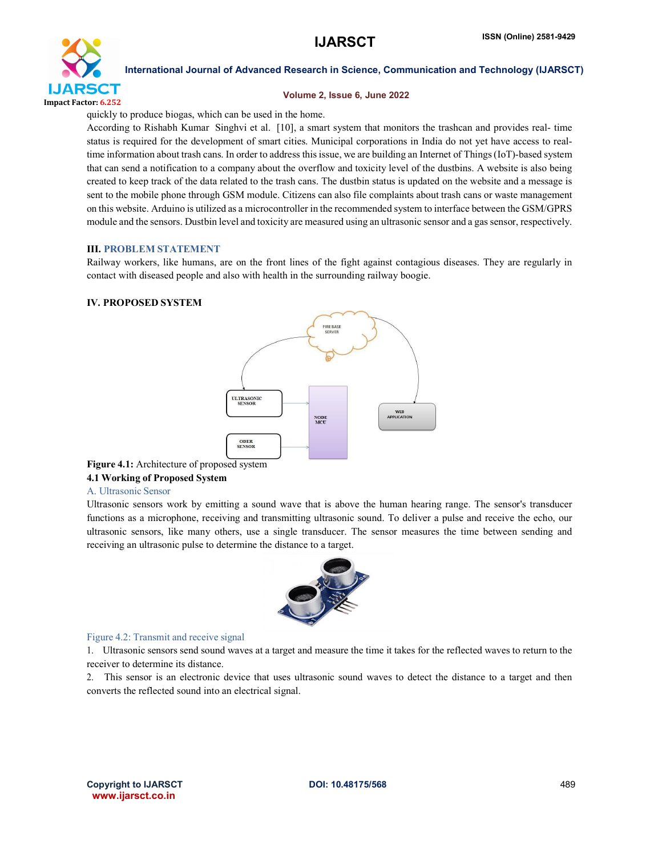

#### Volume 2, Issue 6, June 2022

quickly to produce biogas, which can be used in the home.

According to Rishabh Kumar Singhvi et al. [10], a smart system that monitors the trashcan and provides real- time status is required for the development of smart cities. Municipal corporations in India do not yet have access to realtime information about trash cans. In order to address this issue, we are building an Internet of Things (IoT)-based system that can send a notification to a company about the overflow and toxicity level of the dustbins. A website is also being created to keep track of the data related to the trash cans. The dustbin status is updated on the website and a message is sent to the mobile phone through GSM module. Citizens can also file complaints about trash cans or waste management on this website. Arduino is utilized as a microcontroller in the recommended system to interface between the GSM/GPRS module and the sensors. Dustbin level and toxicity are measured using an ultrasonic sensor and a gas sensor, respectively.

#### III. PROBLEM STATEMENT

Railway workers, like humans, are on the front lines of the fight against contagious diseases. They are regularly in contact with diseased people and also with health in the surrounding railway boogie.

### IV. PROPOSED SYSTEM



### Figure 4.1: Architecture of proposed system

### 4.1 Working of Proposed System

#### A. Ultrasonic Sensor

Ultrasonic sensors work by emitting a sound wave that is above the human hearing range. The sensor's transducer functions as a microphone, receiving and transmitting ultrasonic sound. To deliver a pulse and receive the echo, our ultrasonic sensors, like many others, use a single transducer. The sensor measures the time between sending and receiving an ultrasonic pulse to determine the distance to a target.



#### Figure 4.2: Transmit and receive signal

1. Ultrasonic sensors send sound waves at a target and measure the time it takes for the reflected waves to return to the receiver to determine its distance.

2. This sensor is an electronic device that uses ultrasonic sound waves to detect the distance to a target and then converts the reflected sound into an electrical signal.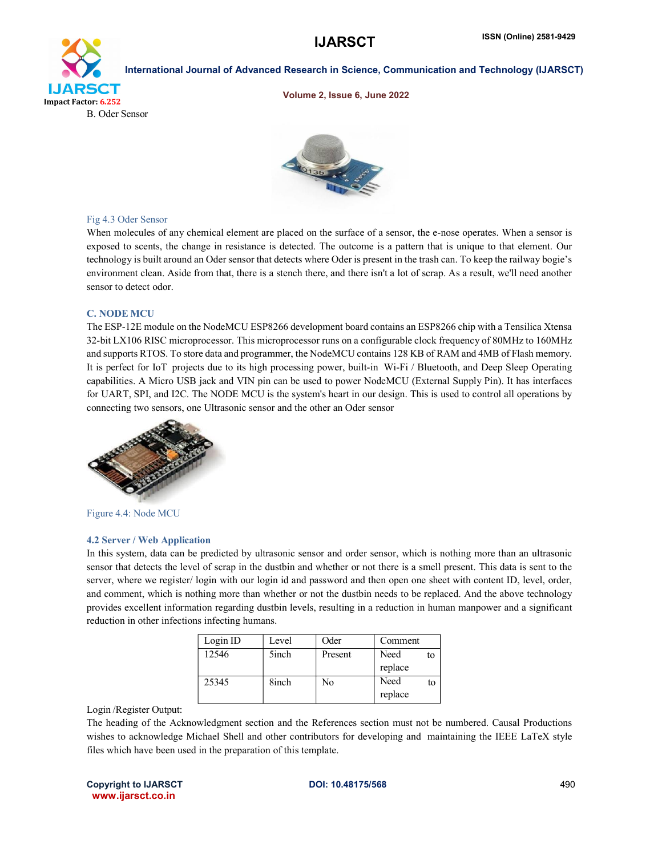

#### Volume 2, Issue 6, June 2022



#### Fig 4.3 Oder Sensor

When molecules of any chemical element are placed on the surface of a sensor, the e-nose operates. When a sensor is exposed to scents, the change in resistance is detected. The outcome is a pattern that is unique to that element. Our technology is built around an Oder sensor that detects where Oder is present in the trash can. To keep the railway bogie's environment clean. Aside from that, there is a stench there, and there isn't a lot of scrap. As a result, we'll need another sensor to detect odor.

#### C. NODE MCU

The ESP-12E module on the NodeMCU ESP8266 development board contains an ESP8266 chip with a Tensilica Xtensa 32-bit LX106 RISC microprocessor. This microprocessor runs on a configurable clock frequency of 80MHz to 160MHz and supports RTOS. To store data and programmer, the NodeMCU contains 128 KB of RAM and 4MB of Flash memory. It is perfect for IoT projects due to its high processing power, built-in Wi-Fi / Bluetooth, and Deep Sleep Operating capabilities. A Micro USB jack and VIN pin can be used to power NodeMCU (External Supply Pin). It has interfaces for UART, SPI, and I2C. The NODE MCU is the system's heart in our design. This is used to control all operations by connecting two sensors, one Ultrasonic sensor and the other an Oder sensor



Figure 4.4: Node MCU

#### 4.2 Server / Web Application

In this system, data can be predicted by ultrasonic sensor and order sensor, which is nothing more than an ultrasonic sensor that detects the level of scrap in the dustbin and whether or not there is a smell present. This data is sent to the server, where we register/ login with our login id and password and then open one sheet with content ID, level, order, and comment, which is nothing more than whether or not the dustbin needs to be replaced. And the above technology provides excellent information regarding dustbin levels, resulting in a reduction in human manpower and a significant reduction in other infections infecting humans.

| Login ID | Level | Oder    | Comment |    |
|----------|-------|---------|---------|----|
| 12546    | 5inch | Present | Need    | to |
|          |       |         | replace |    |
| 25345    | 8inch | No      | Need    | to |
|          |       |         | replace |    |

#### Login /Register Output:

The heading of the Acknowledgment section and the References section must not be numbered. Causal Productions wishes to acknowledge Michael Shell and other contributors for developing and maintaining the IEEE LaTeX style files which have been used in the preparation of this template.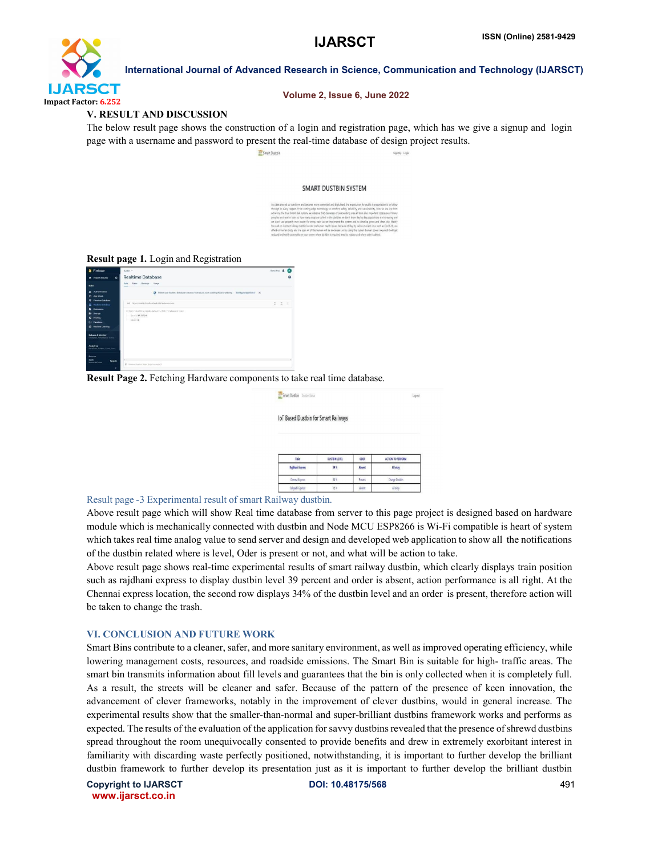

#### Volume 2, Issue 6, June 2022

#### V. RESULT AND DISCUSSION

The below result page shows the construction of a login and registration page, which has we give a signup and login page with a username and password to present the real-time database of design project results.

**Sav Smart Dusthi** 

#### SMART DUSTRIN SYSTEM

| cities around us transform and become more connected and disitalized, the expectation for outsit: transportation is to follow      |  |
|------------------------------------------------------------------------------------------------------------------------------------|--|
| except in every respect. From cutting-edge technology to comfort, safety, reliability and sustainability, how far are not from     |  |
| they're the true Smart Rail section, we observe that cleanness of sampanding area in train also important beacause of many-        |  |
| eoples are travel in train so, how many scrap are collect in the startbirs we don't know day by day populations are increasing and |  |
| a don't use properly man power for every train to we implement this system and to develop green and clean city. Mainly             |  |
| cused on in smart calleay deathin locator on human health issues, because of day by various variant virus such as Covid-19, are    |  |
| fect on human body and life span of of the human will be decreases so by using this system human power required it will get        |  |
| duced and not fy automatic on your screen where durible is required need to realize and where oder is detect.                      |  |

#### Result page 1. Login and Registration

| <b>B</b> Firebase                                                                                  | detter v                                                                                                      | Gibber & C |              |  |
|----------------------------------------------------------------------------------------------------|---------------------------------------------------------------------------------------------------------------|------------|--------------|--|
| ۰<br><b>A</b> Project Overview                                                                     | <b>Realtime Database</b>                                                                                      |            |              |  |
| <b>Build</b>                                                                                       | Rales Backape Shage<br>Dona<br>-                                                                              |            |              |  |
| <b>IL</b> Adhestosten<br>App Check<br>ø                                                            | C Protect your Realtime Database resources from abuse, soch as billing fraud or phéring Centiques App Check X |            |              |  |
| <b>Firectory Eutabase</b><br><b>Realtime Databone</b>                                              | 00 Hitschmiche Zustrahnbach zub Gebauten dem                                                                  |            | $0 \times 1$ |  |
| Februarys<br>۰<br><b>b</b> livings<br><b>Hooting</b><br>۰<br>н<br>Functions<br>Co Madrine Learning | https://obarthtn-Zeedb-default-rids.firebaueln.com/<br>- Invel 29,51724<br>$-$ indices $0$                    |            |              |  |
| <b>Release &amp; Monitor</b><br>Creativing Partishment Text La.                                    |                                                                                                               |            |              |  |
| <b>Analytics</b><br><b>Castroom Feature, Event, Corp.</b>                                          |                                                                                                               |            |              |  |
| france                                                                                             |                                                                                                               |            |              |  |
| <b>Sport</b><br><b>Lingrade</b><br><b>Bound Wooder</b>                                             | 9. Increme Excess Instal Hytectar control)                                                                    |            |              |  |
| ×                                                                                                  |                                                                                                               |            |              |  |

Result Page 2. Fetching Hardware components to take real time database.

| Smart Dustbin Dustin States |                                      | Logout |
|-----------------------------|--------------------------------------|--------|
|                             | IoT Based Dustbin for Smart Railways |        |

| Tols             | <b>DUSTRIN LEVEL</b> | CCE     | ACTION TO PERFORM |
|------------------|----------------------|---------|-------------------|
| Rajdhani Express | 39%                  | Abuet   | Allokay           |
| Chema Express    | 34%                  | Present | Change Dustbin    |
| Sahradni Evoress | 12%                  | Abuer   | All akay          |

#### Result page -3 Experimental result of smart Railway dustbin.

Above result page which will show Real time database from server to this page project is designed based on hardware module which is mechanically connected with dustbin and Node MCU ESP8266 is Wi-Fi compatible is heart of system which takes real time analog value to send server and design and developed web application to show all the notifications of the dustbin related where is level, Oder is present or not, and what will be action to take.

Above result page shows real-time experimental results of smart railway dustbin, which clearly displays train position such as rajdhani express to display dustbin level 39 percent and order is absent, action performance is all right. At the Chennai express location, the second row displays 34% of the dustbin level and an order is present, therefore action will be taken to change the trash.

#### VI. CONCLUSION AND FUTURE WORK

Smart Bins contribute to a cleaner, safer, and more sanitary environment, as well as improved operating efficiency, while lowering management costs, resources, and roadside emissions. The Smart Bin is suitable for high- traffic areas. The smart bin transmits information about fill levels and guarantees that the bin is only collected when it is completely full. As a result, the streets will be cleaner and safer. Because of the pattern of the presence of keen innovation, the advancement of clever frameworks, notably in the improvement of clever dustbins, would in general increase. The experimental results show that the smaller-than-normal and super-brilliant dustbins framework works and performs as expected. The results of the evaluation of the application for savvy dustbins revealed that the presence of shrewd dustbins spread throughout the room unequivocally consented to provide benefits and drew in extremely exorbitant interest in familiarity with discarding waste perfectly positioned, notwithstanding, it is important to further develop the brilliant dustbin framework to further develop its presentation just as it is important to further develop the brilliant dustbin

Copyright to IJARSCT **DOI: 10.48175/568** 491 www.ijarsct.co.in